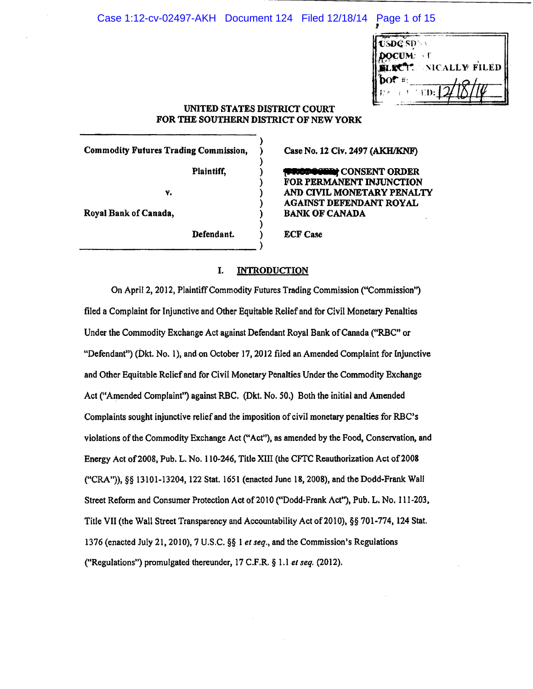# Case 1:12-cv-02497-AKH Document 124 Filed 12/18/14 Page 1 of 15 I

| USDC SD                      |                             |
|------------------------------|-----------------------------|
| <b>DOCUM:</b> T              |                             |
|                              | <b>BLECT.</b> NICALLY FILED |
| $\mathbf{p}$ ot #:<br>生きの主 土 | $\sqrt{21}$<br>$\pm$ ED:    |
|                              |                             |

# UNITED STATES DISTRICT COURT FOR THE SOUTHERN DISTRICT OF NEW YORK

)

)

)

)

)

Commodity Futures Trading Commission, )

Plaintiff,  $)$ 

v. )

Royal Bank of Canada, )

Defendant.

#### Case No. 12 Civ. 2497 (AKH/KNF)

**[IRICIDER]** CONSENT ORDER FOR PERMANENT INJUNCTION AND CIVIL MONETARY PENALTY AGAINST DEFENDANT ROYAL BANK OF CANADA

**ECF Case** 

# I. INTRODUCTION

On April 2, 2012, Plaintiff Commodity Futures Trading Commission ("Commission") tiled a Complaint for Injunctive and Other Equitable Relief and for Civil Monetary Penalties Under the Commodity Exchange Act against Defendant Royal Bank of Canada ("RBC" or "Defendant") (Dkt. No. 1), and on October 17, 2012 filed an Amended Complaint for Injunctive and Other Equitable Relief and for Civil Monetary Penalties Under the Commodity Exchange Act ("Amended Complaint") against RBC. (Dkt. No. 50.) Both the initial and Amended Complaints sought injunctive relief and the imposition of civil monetary penalties for RBC's violations of the Commodity Exchange Act ("Acf'), as amended by the Food, Conservation, and Energy Act of2008, Pub. L. No. 110-246, Title XIII (the CFTC Reauthorization Act of2008 ("CRA")), §§ 13101-13204, 122 Stat. 1651 (enacted June 18, 2008), and the Dodd-Frank Wall Street Reform and Consumer Protection Act of 2010 ("Dodd-Frank Act"), Pub. L. No. 111-203, Title VII (the Wall Street Transparency and Accountability Act of2010), §§ 701-774, 124 Stat. 1376 (enacted July 21, 2010), 7 U.S.C. §§ 1 *et seq.,* and the Commission's Regulations ("Regulations") promulgated thereunder, 17 C.F.R. § 1.1 *et seq.* (2012).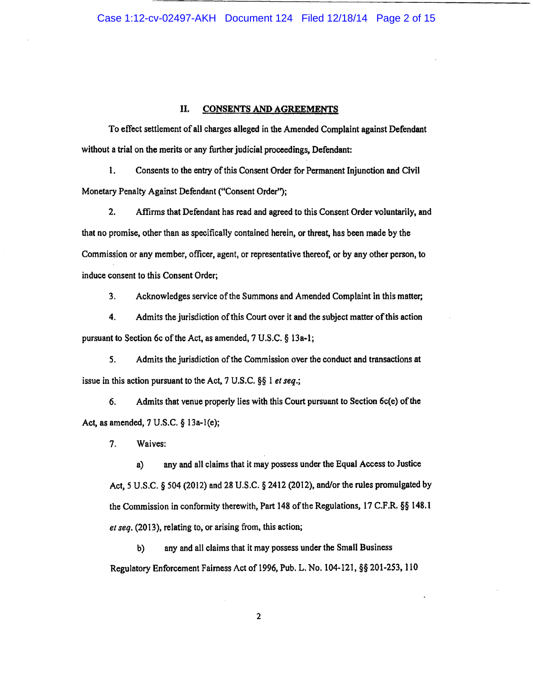## II. CONSENTS AND AGREEMENTS

To effect settlement of all charges alleged in the Amended Complaint against Defendant without a trial on the merits or any further judicial proceedings, Defendant:

1. Consents to the entry of this Consent Order for Permanent Injunction and Civil Monetary Penalty Against Defendant ("Consent Order");

2. Affirms that Defendant has read and agreed to this Consent Order voluntarily, and that no promise, other than as specifically contained herein, or threat, has been made by the Commission or any member, officer, agent, or representative thereof, or by any other person, to induce consent to this Consent Order;

3. Acknowledges service of the Summons and Amended Complaint in this matter;

4. Admits the jurisdiction of this Court over it and the subject matter ofthis action pursuant to Section 6c of the Act, as amended, 7 U.S.C. § 13a-1;

*5.* Admits the jurisdiction of the Commission over the conduct and transactions at issue in this action pursuant to the Act, 7 U.S.C. §§ 1 *et seq.;* 

6. Admits that venue properly lies with this Court pursuant to Section 6c(e) of the Act, as amended, 7 U.S.C. § 13a-l(e);

7. Waives:

a) any and all claims that it may possess under the Equal Access to Justice Act, *5* U.S.C. § 504 (2012) and 28 U.S.C. § 2412 (2012), and/or the rules promulgated by the Commission in conformity therewith, Part 148 of the Regulations, 17 C.F.R. §§ 148.1 *et seq.* (2013), relating to, or arising from, this action;

b) any and all claims that it may possess under the Small Business Regulatory Enforcement Fairness Act of 1996, Pub. L. No. 104·121, §§ 201-253, 110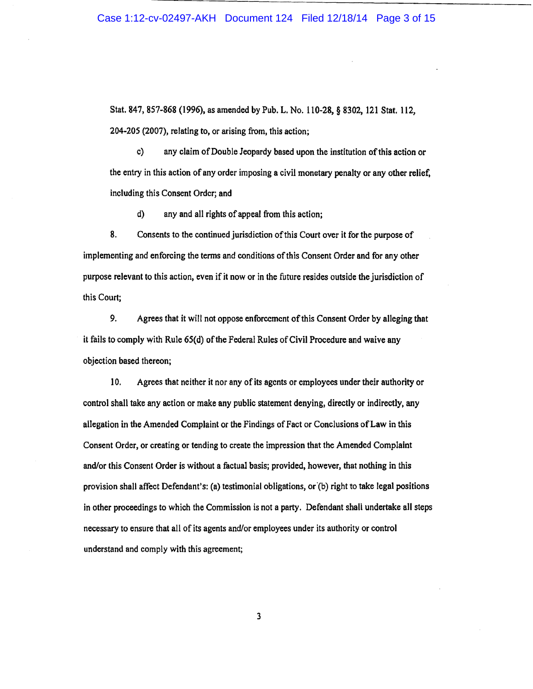Stat. 847, 857-868 (1996), as amended by Pub. L. No. 110-28, § 8302, 121 Stat. 112, 204-205 (2007), relating to, or arising from, this action;

c) any claim of Double Jeopardy based upon the institution ofthis action or the entry in this action of any order imposing a civil monetary penalty or any other relief, including this Consent Order; and

d) any and all rights of appeal from this action;

8. Consents to the continued jurisdiction of this Court over it for the purpose of implementing and enforcing the terms and conditions of this Consent Order and for any other purpose relevant to this action, even if it now or in the future resides outside the jurisdiction of this Court;

9. Agrees that it will not oppose enforcement of this Consent Order by alleging that it fails to comply with Rule 65(d) of the Federal Rules of Civil Procedure and waive any objection based thereon;

10. Agrees that neither it nor any of its agents or employees under their authority or control shall take any action or make any public statement denying, directly or indirectly, any allegation in the Amended Complaint or the Findings of Fact or Conclusions of Law in this Consent Order, or creating or tending to create the impression that the Amended Complaint and/or this Consent Order is without a factual basis; provided, however, that nothing in this provision shall affect Defendant's: (a) testimonial obligations, or'(b) right to take legal positions in other proceedings to which the Commission is not a party. Defendant shall undertake all steps necessary to ensure that all of its agents and/or employees under its authority or control understand and comply with this agreement;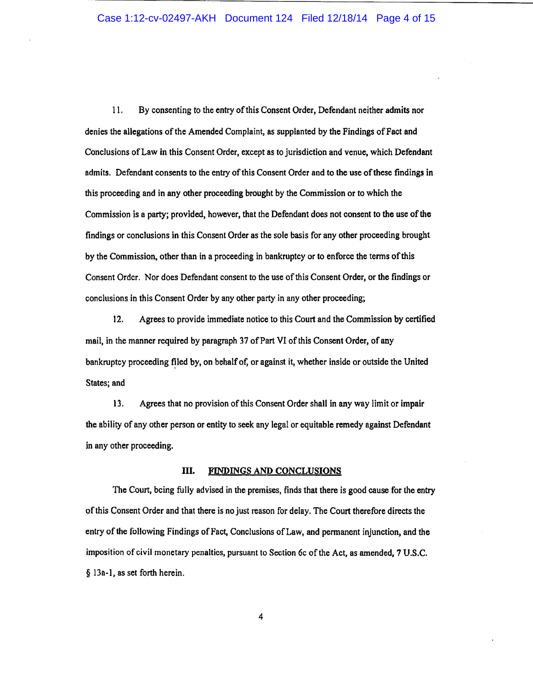11. By consenting to the entry of this Consent Order, Defendant neither admits nor denies the allegations of the Amended Complaint, as supplanted by the Findings ofFact and Conclusions of Law in this Consent Order, except as to jurisdiction and venue, which Defendant admits. Defendant consents to the entry of this Consent Order and to the use of these findings in this proceeding and in any other proceeding brought by the Commission or to which the Commission is a party; provided, however, that the Defendant does not consent to the use of the findings or conclusions in this Consent Order as the sole basis for any other proceeding brought by the Commission, other than in a proceeding in bankruptcy or to enforce the terms of this Consent Order. Nor does Defendant consent to the use of this Consent Order, or the findings or conclusions in this Consent Order by any other party in any other proceeding;

12. Agrees to provide immediate notice to this Court and the Commission by certified mail, in the manner required by paragraph 37 of Part VI of this Consent Order, of any bankruptcy proceeding filed by, on behalf of, or against it, whether inside or outside the United States; and

13. Agrees that no provision of this Consent Order shall in any way limit or impair the ability of any other person or entity to seek any legal or equitable remedy against Defendant in any other proceeding.

## III. FINDINGS AND CONCLUSIONS

The Court, being fully advised in the premises, finds that there is good cause for the entry of this Consent Order and that there is no just reason for delay. The Court therefore directs the entry of the following Findings of Fact, Conclusions of Law, and permanent injunction, and the imposition of civil monetary penalties, pursuant to Section 6c of the Act, as amended, 7 U .S.C. § 13a-l, as set forth herein.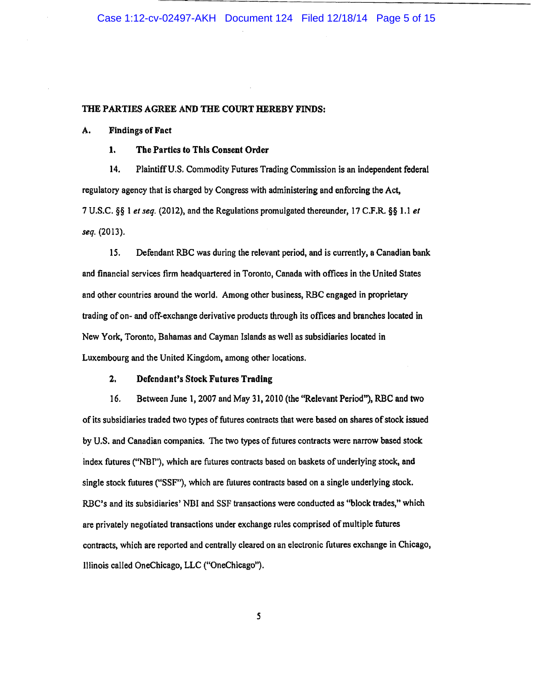#### THE PARTIES AGREE AND THE COURT HEREBY FINDS:

#### A. Findings of Fact

1. The Parties to This Consent Order

14. Plaintiff U.S. Commodity Futures Trading Commission is an independent federal regulatory agency that is charged by Congress with administering and enforcing the Act, 7 U.S.C. §§ 1 *et seq.* (2012), and the Regulations promulgated thereunder, 17 C.F.R. §§ 1.1 *et seq.* (2013).

15. Defendant RBC was during the relevant period, and is currently, a Canadian bank and financial services firm headquartered in Toronto, Canada with offices in the United States and other countries around the world. Among other business, RBC engaged in proprietary trading of on- and off-exchange derivative products through its offices and branches located in New York, Toronto, Bahamas and Cayman Islands as well as subsidiaries located in Luxembourg and the United Kingdom, among other locations.

#### 2, Defendant's Stock Futures Trading

16. Between June 1, 2007 and May 31,2010 (the "Relevant Period'), RBC and two of its subsidiaries traded two types of futures contracts that were based on shares of stock issued by U.S. and Canadian companies. The two types of futures contracts were narrow based stock index futures ("NBI''), which are futures contracts based on baskets of underlying stock, and single stock futures ("SSF"), which are futures contracts based on a single underlying stock. RBC's and its subsidiaries' NBI and SSF transactions were conducted as "block trades," which are privately negotiated transactions under exchange rules comprised of multiple futures contracts, which are reported and centrally cleared on an electronic futures exchange in Chicago, lllinois called OneChicago, LLC ("OneChicago").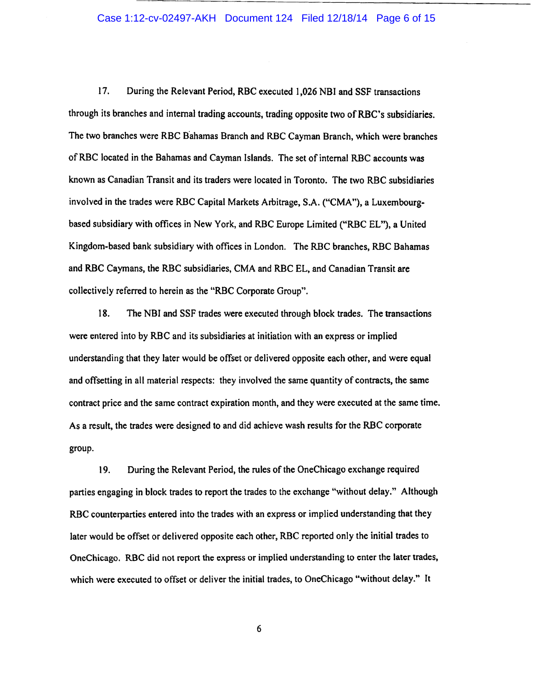## Case 1:12-cv-02497-AKH Document 124 Filed 12/18/14 Page 6 of 15

17. During the Relevant Period, RBC executed 1,026 NBI and SSF transactions through its branches and internal trading accounts, trading opposite two of RBC's subsidiaries. The two branches were RBC Bahamas Branch and RBC Cayman Branch, which were branches ofRBC located in the Bahamas and Cayman Islands. The set of internal RBC accounts was known as Canadian Transit and its traders were located in Toronto. The two RBC subsidiaries involved in the trades were RBC Capital Markets Arbitrage, S.A. ("CMA"}, a Luxembourgbased subsidiary with offices in New York, and RBC Europe Limited ("RBC EL"}, a United Kingdom-based bank subsidiary with offices in London. The RBC branches, RBC Bahamas and RBC Caymans, the RBC subsidiaries, CMA and RBC EL, and Canadian Transit are collectively referred to herein as the "RBC Corporate Group".

18. The NBI and SSF trades were executed through block trades. The transactions were entered into by RBC and its subsidiaries at initiation with an express or implied understanding that they later would be offset or delivered opposite each other, and were equal and offsetting in all material respects: they involved the same quantity of contracts, the same contract price and the same contract expiration month, and they were executed at the same time. As a result, the trades were designed to and did achieve wash results for the RBC corporate group.

19. During the Relevant Period, the rules of the OneChicago exchange required parties engaging in block trades to report the trades to the exchange "without delay." Although RBC counterparties entered into the trades with an express or implied understanding that they later would be offset or delivered opposite each other, RBC reported only the initial trades to OneChicago. RBC did not report the express or implied understanding to enter the later trades, which were executed to offset or deliver the initial trades, to OneChicago "without delay." It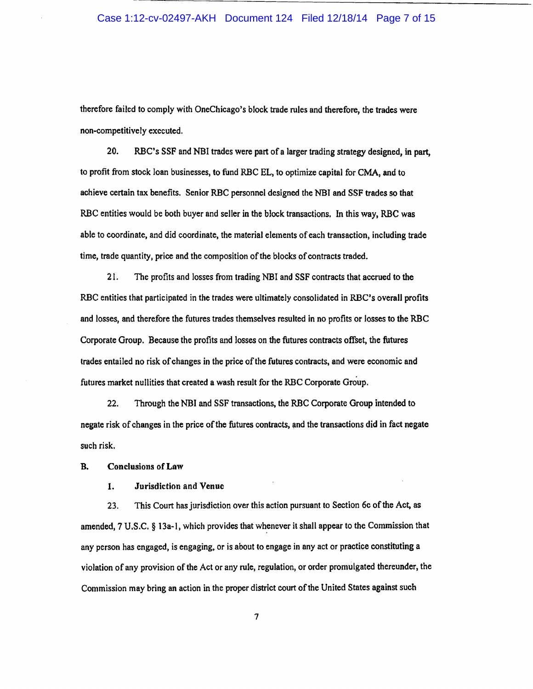therefore failed to comply with OneChicago's block trade rules and therefore, the trades were non-competitively executed.

20. RBC's SSP and NBI trades were part of a larger trading strategy designed, in part, to profit from stock loan businesses, to fund RBC EL, to optimize capital for CMA, and to achieve certain tax benefits. Senior RBC personnel designed the NBI and SSP trades so that RBC entities would be both buyer and seller in the block transactions. In this way, RBC was able to coordinate, and did coordinate, the material elements of each transaction, including trade time, trade quantity, price and the composition of the blocks of contracts traded.

21. The profits and losses from trading NBI and SSF contracts that accrued to the RBC entities that participated in the trades were ultimately consolidated in RBC's overall profits and losses, and therefore the futures trades themselves resulted in no profits or losses to the RBC Corporate Group. Because the profits and losses on the futures contracts offset, the futures trades entailed no risk of changes in the price of the futures contracts, and were economic and futures market nullities that created a wash result for the RBC Corporate Group.

22. Through the NBI and SSF transactions, the RBC Corporate Group intended to negate risk of changes in the price of the futures contracts, and the transactions did in fact negate such risk.

B. Conclusions of Law

1. Jurisdiction and Venue

23. This Court has jurisdiction over this action pursuant to Section 6c ofthe Act, as amended, 7 U.S.C. § 13a-1, which provides that whenever it shall appear to the Commission that any person has engaged, is engaging. or is about to engage in any act or practice constituting a violation of any provision of the Act or any rule, regulation, or order promulgated thereunder, the Commission may bring an action in the proper district court of the United States against such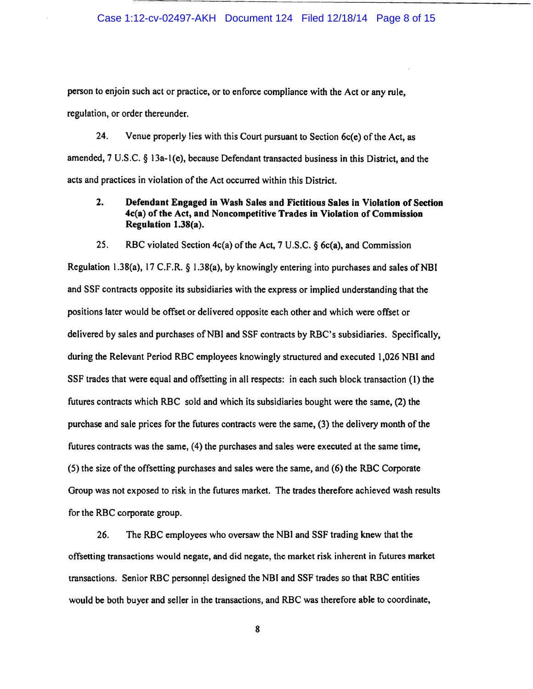person to enjoin such act or practice, or to enforce compliance with the Act or any rule, regulation, or order thereunder.

24. Venue properly lies with this Court pursuant to Section 6c(e) of the Act, as amended, 7 U.S.C. § 1 3a-l(e), because Defendant transacted business in this District, and the acts and practices in violation of the Act occurred within this District.

# 2. Defendant Engaged in Wash Sales and Fictitious Sales in Violation of Section 4c(a) of the Act, and Noncompetitive Trades in Violation of Commission Regulation 1.38(a).

# 25. RBC violated Section 4c(a) of the Act, 7 U.S.C. § 6c(a), and Commission

Regulation 1.38(a), 17 C.F.R.  $\S$  1.38(a), by knowingly entering into purchases and sales of NBI and SSF contracts opposite its subsidiaries with the express or implied understanding that the positions later would be offset or delivered opposite each other and which were offset or delivered by sales and purchases of NBI and SSF contracts by RBC's subsidiaries. Specifically, during the Relevant Period RBC employees knowingly structured and executed 1,026 NBI and SSF trades that were equal and offsetting in all respects: in each such block transaction (1) the futures contracts which RBC sold and which its subsidiaries bought were the same, (2) the purchase and sale prices for the futures contracts were the same, (3) the delivery month of the futures contracts was the same, (4) the purchases and sales were executed at the same time, (5) the size of the offsetting purchases and sales were the same, and (6) the RBC Corporate Group was not exposed to risk in the futures market. The trades therefore achieved wash results for the RBC corporate group.

26. The RBC employees who oversaw the NBJ and SSF trading knew that the offsetting transactions would negate, and did negate, the market risk inherent in futures market transactions. Senior RBC personnel designed the NBI and SSF trades so that RBC entities would be both buyer and seller in the transactions, and RBC was therefore able to coordinate,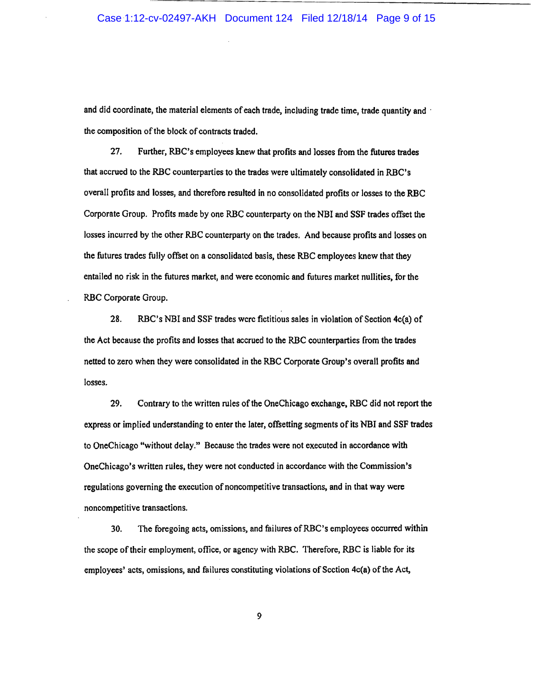and did coordinate, the material elements of each trade, including trade time, trade quantity and the composition of the block of contracts traded.

27. Further, RBC's employees knew that profits and losses from the futures trades that accrued to the RBC counterparties to the trades were ultimately consolidated in RBC's overall profits and losses, and therefore resulted in no consolidated profits or losses to the RBC Corporate Group. Profits made by one RBC counterparty on the NBI and SSF trades offset the losses incurred by the other RBC counterparty on the trades. And because profits and losses on the futures trades fully offset on a consolidated basis, these RBC employees knew that they entailed no risk in the futures market, and were economic and futures market nullities, for the RBC Corporate Group.

28. RBC's NBI and SSF trades were fictitious sales in violation of Section 4c(a) of the Act because the profits and losses that accrued to the RBC counterparties from the trades netted to zero when they were consolidated in the RBC Corporate Group's overall profits and losses.

29. Contrary to the written rules of the OneChicago exchange, RBC did not report the express or implied understanding to enter the later, offsetting segments of its NBI and SSF trades to OneChicago "without delay.'' Because the trades were not executed in accordance with OneChicago's written rules, they were not conducted in accordance with the Commission's regulations governing the execution of noncompetitive transactions, and in that way were noncompetitive transactions.

30. The foregoing acts, omissions, and failures ofRBC's employees occurred within the scope oftheir employment, oflice, or agency with RBC. Therefore, RBC is liable for its employees' acts, omissions, and failures constituting violations of Section 4c(a) of the Act,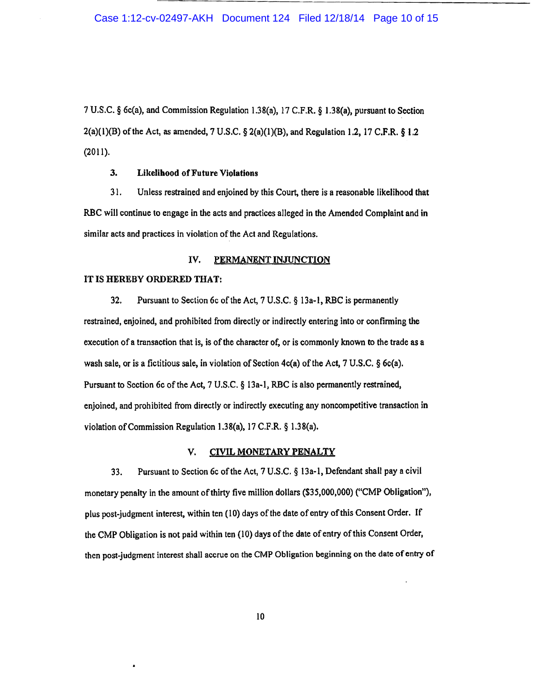7 U.S.C. § 6c(a), and Commission Regulation 1.38(a), 17 C.P.R. § 1.38(a), pursuant to Section  $2(a)(1)(B)$  of the Act, as amended, 7 U.S.C. §  $2(a)(1)(B)$ , and Regulation 1.2, 17 C.F.R. § 1.2 (2011).

## 3. Likelihood of Future Violations

31. Unless restrained and enjoined by this Court, there is a reasonable likelihood that RBC will continue to engage in the acts and practices alleged in the Amended Complaint and in similar acts and practices in violation of the Act and Regulations.

## IV. PERMANENT INJUNCTION

#### IT IS HEREBY ORDERED THAT:

32. Pursuant to Section 6c of the Act, 7 U.S.C.  $\S$  13a-1, RBC is permanently restrained, enjoined, and prohibited from directly or indirectly entering into or confirming the execution of a transaction that is, is of the character of, or is commonly known to the trade as a wash sale, or is a fictitious sale, in violation of Section  $4c(a)$  of the Act, 7 U.S.C. § 6c(a). Pursuant to Section 6c of the Act, 7 U.S.C. § 13a~l, RBC is also permanently restrained, enjoined, and prohibited from directly or indirectly executing any noncompetitive transaction in violation of Commission Regulation 1.38(a), 17 C.P.R.§ 1.38(a).

#### V. CIVIL MONETARY PENALTY

33. Pursuant to Section 6c ofthe Act, 7 U.S.C. § l3a-1, Defendant shall pay a civil monetary penalty in the amount of thirty five million dollars (\$35,000,000) ("CMP Obligation"), plus post-judgment interest, within ten (10) days of the date of entry of this Consent Order. If the CMP Obligation is not paid within ten (10) days of the date of entry ofthis Consent Order, then post-judgment interest shall accrue on the CMP Obligation beginning on the date of entry of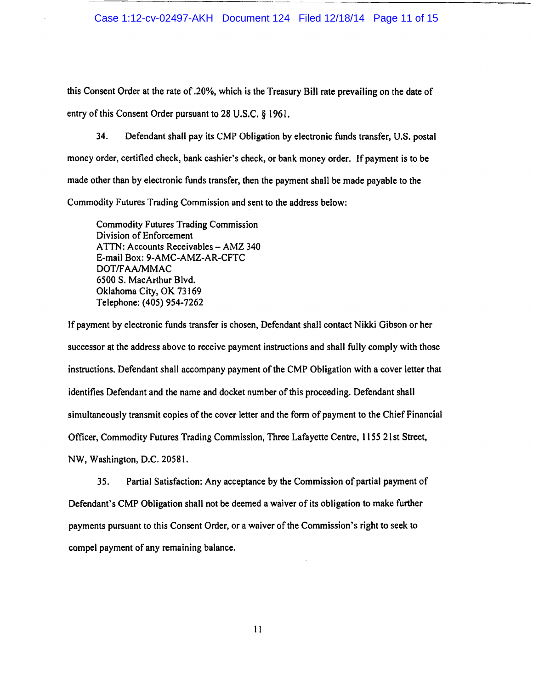this Consent Order at the rate of .20%, which is the Treasury Bill rate prevailing on the date of entry of this Consent Order pursuant to 28 U.S.C. § 1961.

34. Defendant shall pay its CMP Obligation by electronic funds transfer, U.S. postal money order, certified check, bank cashier's check, or bank money order. If payment is to be made other than by electronic funds transfer, then the payment shall be made payable to the Commodity Futures Trading Commission and sent to the address below:

Commodity Futures Trading Commission Division of Enforcement ATTN: Accounts Receivables - AMZ 340 E-mail Box: 9-AMC-AMZ-AR-CFTC DOT/FAA/MMAC 6500 S. MacArthur Blvd. Oklahoma City, OK 73169 Telephone: (405) 954-7262

If payment by electronic funds transfer is chosen, Defendant shall contact Nikki Gibson or her successor at the address above to receive payment instructions and shall fully comply with those instructions. Defendant shall accompany payment of the CMP Obligation with a cover letter that identifies Defendant and the name and docket number of this proceeding. Defendant shall simultaneously transmit copies of the cover letter and the form of payment to the Chief Financial Officer, Commodity Futures Trading Commission, Three Lafayette Centre, 1155 21st Street, NW, Washington, D.C. 20581.

35. Partial Satisfaction: Any acceptance by the Commission of partial payment of Defendant's CMP Obligation shall not be deemed a waiver of its obligation to make further payments pursuant to this Consent Order, or a waiver of the Commission's right to seek to compel payment of any remaining balance.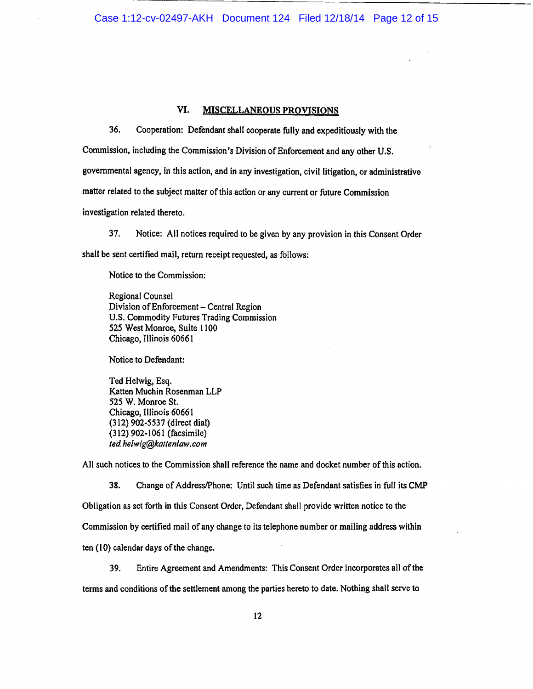# VI. MISCELLANEOUS PROVISIONS

36. Cooperation: Defendant shall cooperate fully and expeditiously with the

Commission, including the Commission's Division of Enforcement and any other U.S.

governmental agency, in this action, and in any investigation, civil litigation, or administrative

matter related to the subject matter of this action or any current or future Commission

investigation related thereto.

37. Notice: All notices required to be given by any provision in this Consent Order shall be sent certified mail, return receipt requested, as follows:

Notice to the Commission:

Regional Counsel Division of Enforcement - Central Region U.S. Commodity Futures Trading Commission 525 West Monroe, Suite 1100 Chicago, Illinois 60661

Notice to Defendant:

Ted Helwig, Esq. Katten Muchin Rosenman LLP 525 W. Monroe St. Chicago, Illinois 60661 (312) 902-5537 (direct dial) (312) 902-1061 (facsimile) *ted he/wig@kallenlaw. com* 

All such notices to the Commission shall reference the name and docket number of this action.

38. Change of Address/Phone: Until such time as Defendant satisfies in full its CMP Obligation as set forth in this Consent Order, Defendant shall provide written notice to the Commission by certified mail of any change to its telephone number or mailing address within ten (10) calendar days of the change.

39. Entire Agreement and Amendments: This Consent Order incorporates all of the terms and conditions of the settlement among the parties hereto to date. Nothing shall serve to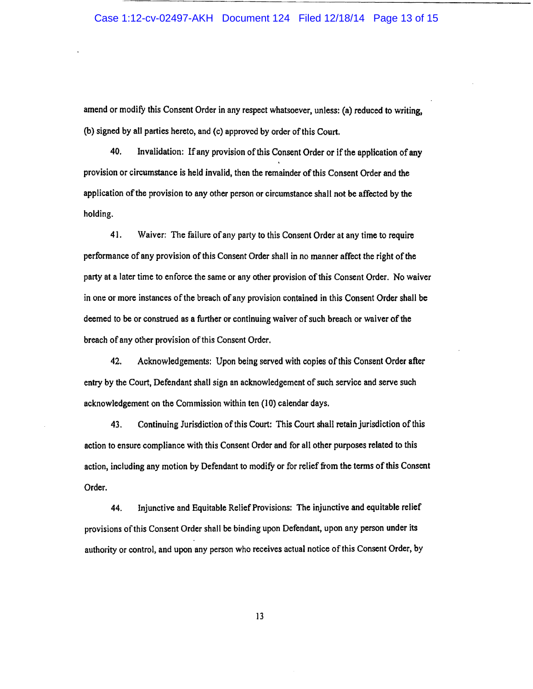## Case 1:12-cv-02497-AKH Document 124 Filed 12/18/14 Page 13 of 15

amend or modify this Consent Order in any respect whatsoever, unless: (a) reduced to writing, (b) signed by all parties hereto, and (c) approved by order of this Court.

40. Invalidation: If any provision of this Consent Order or if the application of any provision or circumstance is held invalid, then the remainder of this Consent Order and the application of the provision to any other person or circumstance shall not be affected by the holding.

41. Waiver: The failure of any party to this Consent Order at any time to require performance of any provision of this Consent Order shall in no manner affect the right of the party at a later time to enforce the same or any other provision of this Consent Order. No waiver in one or more instances of the breach of any provision contained in this Consent Order shall be deemed to be or construed as a further or continuing waiver of such breach or waiver of the breach of any other provision of this Consent Order.

42. Acknowledgements: Upon being served with copies of this Consent Order after entry by the Court, Defendant shall sign an acknowledgement of such service and serve such acknowledgement on the Commission within ten (10) calendar days.

43. Continuing Jurisdiction of this Court: This Court shall retain jurisdiction of this action to ensure compliance with this Consent Order and for all other purposes related to this action, including any motion by Defendant to modify or for relief from the terms of this Consent Order.

44. Injunctive and Equitable Relief Provisions: The injunctive and equitable relief provisions of this Consent Order shall be binding upon Defendant, upon any person under its authority or control, and upon any person who receives actual notice ofthis Consent Order, by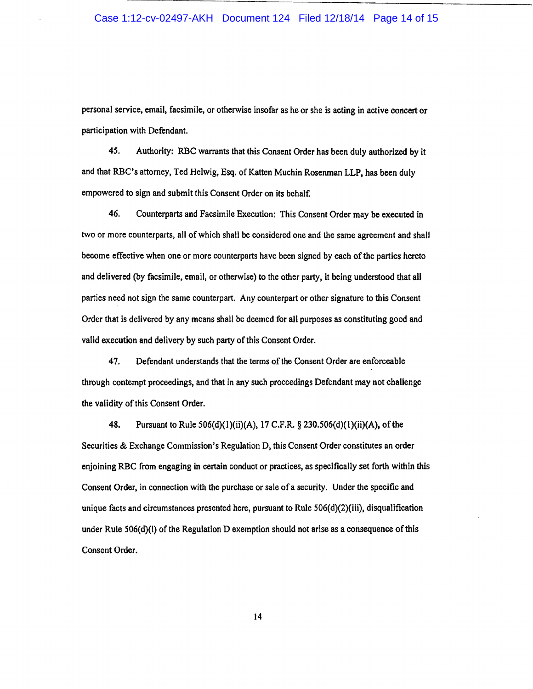personal service, email, facsimile, or otherwise insofar as he or she is acting in active concert or participation with Defendant.

45. Authority: RBC warrants that this Consent Order has been duly authorized by it and that RBC's attorney, Ted Helwig, Esq. of Katten Muchin Rosenman LLP, has been duly empowered to sign and submit this Consent Order on its behalf.

46. Counterparts and Facsimile Execution: This Consent Order may be executed in two or more counterparts, all of which shall be considered one and the same agreement and shall become effective when one or more counterparts have been signed by each of the parties hereto and delivered (by facsimile, email, or otherwise) to the other party, it being understood that all parties need not sign the same counterpart. Any counterpart or other signature to this Consent Order that is delivered by any means shall be deemed for all purposes as constituting good and valid execution and delivery by such party of this Consent Order.

47. Defendant understands that the terms of the Consent Order are enforceable through contempt proceedings, and that in any such proceedings Defendant may not challenge the validity of this Consent Order.

48. Pursuant to Rule 506(d)(l)(ii)(A), 17 C.P.R.§ 230.506(d)(l)(ii)(A), ofthe Securities & Exchange Commission's Regulation D, this Consent Order constitutes an order enjoining RBC from engaging in certain conduct or practices, as specifically set forth within this Consent Order, in connection with the purchase or sale of a security. Under the specific and unique facts and circumstances presented here, pursuant to Rule 506(d)(2)(iii), disqualification under Rule 506(d)(l) of the Regulation D exemption should not arise as a consequence of this Consent Order.